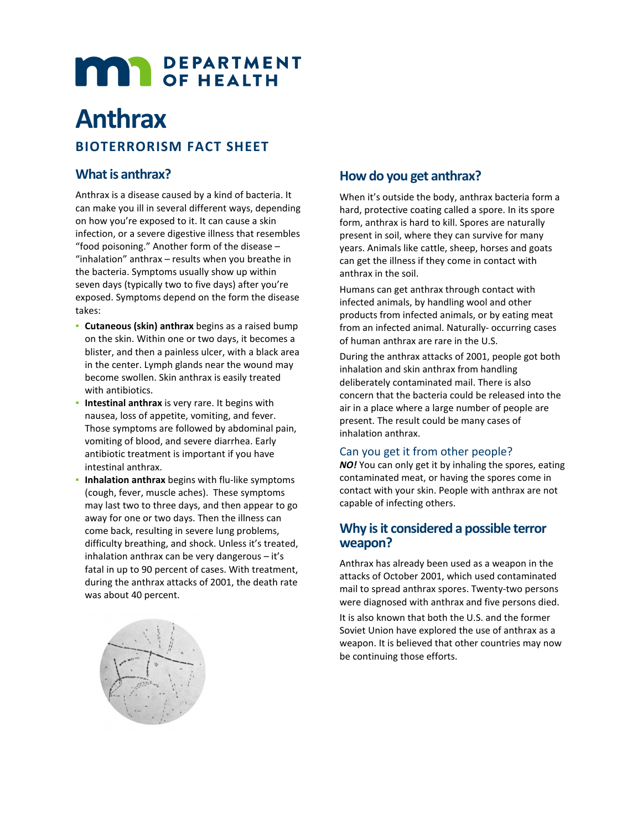# **MAR** DEPARTMENT

# **Anthrax**

## **BIOTERRORISM FACT SHEET**

#### **What is anthrax?**

Anthrax is a disease caused by a kind of bacteria. It can make you ill in several different ways, depending on how you're exposed to it. It can cause a skin infection, or a severe digestive illness that resembles "food poisoning." Another form of the disease – "inhalation" anthrax – results when you breathe in the bacteria. Symptoms usually show up within seven days (typically two to five days) after you're exposed. Symptoms depend on the form the disease takes:

- **Cutaneous (skin) anthrax** begins as a raised bump on the skin. Within one or two days, it becomes a blister, and then a painless ulcer, with a black area in the center. Lymph glands near the wound may become swollen. Skin anthrax is easily treated with antibiotics.
- **· Intestinal anthrax** is very rare. It begins with nausea, loss of appetite, vomiting, and fever. Those symptoms are followed by abdominal pain, vomiting of blood, and severe diarrhea. Early antibiotic treatment is important if you have intestinal anthrax.
- Inhalation anthrax begins with flu-like symptoms (cough, fever, muscle aches). These symptoms may last two to three days, and then appear to go away for one or two days. Then the illness can come back, resulting in severe lung problems, difficulty breathing, and shock. Unless it's treated, inhalation anthrax can be very dangerous – it's fatal in up to 90 percent of cases. With treatment, during the anthrax attacks of 2001, the death rate was about 40 percent.

## **How do you get anthrax?**

When it's outside the body, anthrax bacteria form a hard, protective coating called a spore. In its spore form, anthrax is hard to kill. Spores are naturally present in soil, where they can survive for many years. Animals like cattle, sheep, horses and goats can get the illness if they come in contact with anthrax in the soil.

Humans can get anthrax through contact with infected animals, by handling wool and other products from infected animals, or by eating meat from an infected animal. Naturally- occurring cases of human anthrax are rare in the U.S.

During the anthrax attacks of 2001, people got both inhalation and skin anthrax from handling deliberately contaminated mail. There is also concern that the bacteria could be released into the air in a place where a large number of people are present. The result could be many cases of inhalation anthrax.

#### Can you get it from other people?

*NO!* You can only get it by inhaling the spores, eating contaminated meat, or having the spores come in contact with your skin. People with anthrax are not capable of infecting others.

#### **Why is it considered a possible terror weapon?**

Anthrax has already been used as a weapon in the attacks of October 2001, which used contaminated mail to spread anthrax spores. Twenty-two persons were diagnosed with anthrax and five persons died.

It is also known that both the U.S. and the former Soviet Union have explored the use of anthrax as a weapon. It is believed that other countries may now be continuing those efforts.